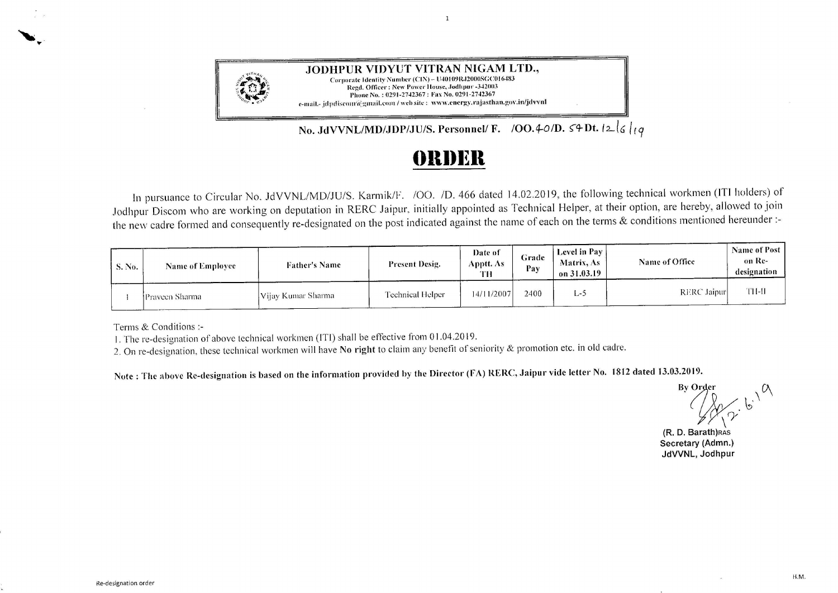

**JODHPUR VIDYUT VITRAN NIGAM LTD.,**  Corporate Identity Number (CIN)- ll40109R.12000SGCOI 6483 Regd. Officer: New Power House, Jodhpur -342003 Phone No.: 0291-2742367: Fax No. 0291-2742367 e-mail.- jdpdiscom @gmail.com / web site : www.energy.rajasthan.gov.in/jdvvnl

No. JdVVNL/MD/JDP/JU/S. Personnel/ F. /OO.4-0/D.  $\varsigma$ 4 Dt.  $|2|\varsigma|$ 

## **ennsn**

 $\mathbf{1}$ 

In pursuance to Circular No. JdVVNL/MD/JU/S. Karrnik/F. /00. *ID.* 466 dated 14.02.2019, the following technical workmen (IT! holders) of Joclhpur Discom who are working on deputation in RERC Jaipur. initially appointed as Technical Helper, at their option, are hereby, allowed to join the new cadre formed and consequently re-designated on the post indicated against the name of each on the terms & conditions mentioned hereunder:-

| S. No. | <b>Name of Employee</b> | <b>Father's Name</b> | <b>Present Desig.</b> | Date of<br>Apptt. As-<br>TH | Grade<br>Pay | Level in Pay<br>Matrix, As<br>on 31.03.19 | <b>Name of Office</b> | <b>Name of Post</b><br>on Re-<br>designation |
|--------|-------------------------|----------------------|-----------------------|-----------------------------|--------------|-------------------------------------------|-----------------------|----------------------------------------------|
|        | Prayeen Sharma          | Vijay Kumar Sharma   | Technical Helper      | 14/11/2007                  | 2400         | L-5                                       | RERC Jaipur           | TH-II                                        |

Terms & Conditions:-

' ...

1. The re-designation of above technical workmen (!Tl) shall be effective from O 1.04.2019.

2. On re-designation, these technical workmen will have **No right** to claim any benefit of seniority & promotion etc. in old cadre.

**Nute : The above Re-designation is based on the information provided hy the Director (FA) RERC, Jaipur vide letter No. 1812 dated 13.03.2019.** 

 $\mathcal{L}$ <br>**By Order**<br> $\left(\begin{matrix} 1 & 1 \\ 0 & 1 \end{matrix}\right)^{1/2}$  $\mathbb{R}^N$ *{J-;* 

**(R. D. Barath)RAS Secretary (Admn.) JdVVNL, Jodhpur**